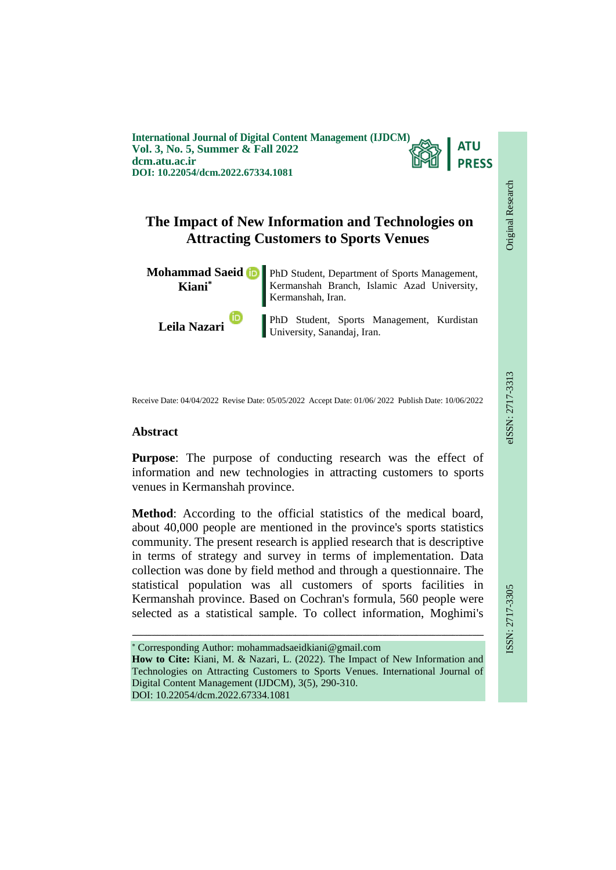**International Journal of Digital Content Management (IJDCM) Vol. 3, No. 5, Summer & Fall 2022 dcm.atu.ac.ir DOI: 10.22054/dcm.2022.67334.1081**



# **The Impact of New Information and Technologies on Attracting Customers to Sports Venues**

**Mohammad Saeid Kiani\*** PhD Student, Department of Sports Management, Kermanshah Branch, Islamic Azad University, Kermanshah, Iran.

**Leila Nazari** University, Sanandaj, Iran.

PhD Student, Sports Management, Kurdistan

Receive Date: 04/04/2022 Revise Date: 05/05/2022 Accept Date: 01/06/ 2022 Publish Date: 10/06/2022

#### **Abstract**

**Purpose**: The purpose of conducting research was the effect of information and new technologies in attracting customers to sports venues in Kermanshah province.

**Method**: According to the official statistics of the medical board, about 40,000 people are mentioned in the province's sports statistics community. The present research is applied research that is descriptive in terms of strategy and survey in terms of implementation. Data collection was done by field method and through a questionnaire. The statistical population was all customers of sports facilities in Kermanshah province. Based on Cochran's formula, 560 people were selected as a statistical sample. To collect information, Moghimi's

 Corresponding Author: mohammadsaeidkiani@gmail.com **How to Cite:** Kiani, M. & Nazari, L. (2022). The Impact of New Information and Technologies on Attracting Customers to Sports Venues. International Journal of Digital Content Management (IJDCM), 3(5), 290-310. DOI: 10.22054/dcm.2022.67334.1081

ـــــــــــــــــــــــــــــــــــــــــــــــــــــــــــــــــــــــــــــــــــــــــــــــــــــــــــــــــــــــــــــ

Original Research

**Original Research**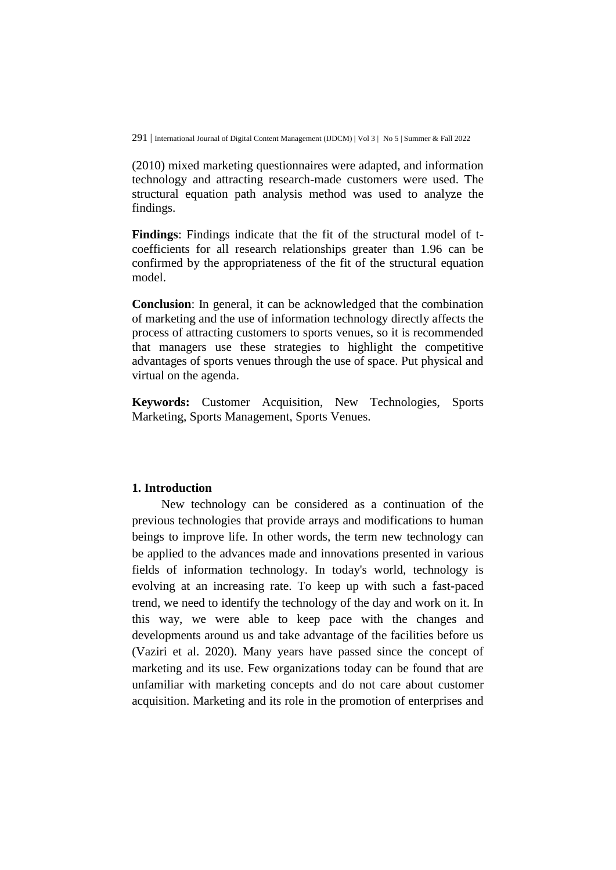(2010) mixed marketing questionnaires were adapted, and information technology and attracting research-made customers were used. The structural equation path analysis method was used to analyze the findings.

**Findings**: Findings indicate that the fit of the structural model of tcoefficients for all research relationships greater than 1.96 can be confirmed by the appropriateness of the fit of the structural equation model.

**Conclusion**: In general, it can be acknowledged that the combination of marketing and the use of information technology directly affects the process of attracting customers to sports venues, so it is recommended that managers use these strategies to highlight the competitive advantages of sports venues through the use of space. Put physical and virtual on the agenda.

**Keywords:** Customer Acquisition, New Technologies, Sports Marketing, Sports Management, Sports Venues.

#### **1. Introduction**

New technology can be considered as a continuation of the previous technologies that provide arrays and modifications to human beings to improve life. In other words, the term new technology can be applied to the advances made and innovations presented in various fields of information technology. In today's world, technology is evolving at an increasing rate. To keep up with such a fast-paced trend, we need to identify the technology of the day and work on it. In this way, we were able to keep pace with the changes and developments around us and take advantage of the facilities before us (Vaziri et al. 2020). Many years have passed since the concept of marketing and its use. Few organizations today can be found that are unfamiliar with marketing concepts and do not care about customer acquisition. Marketing and its role in the promotion of enterprises and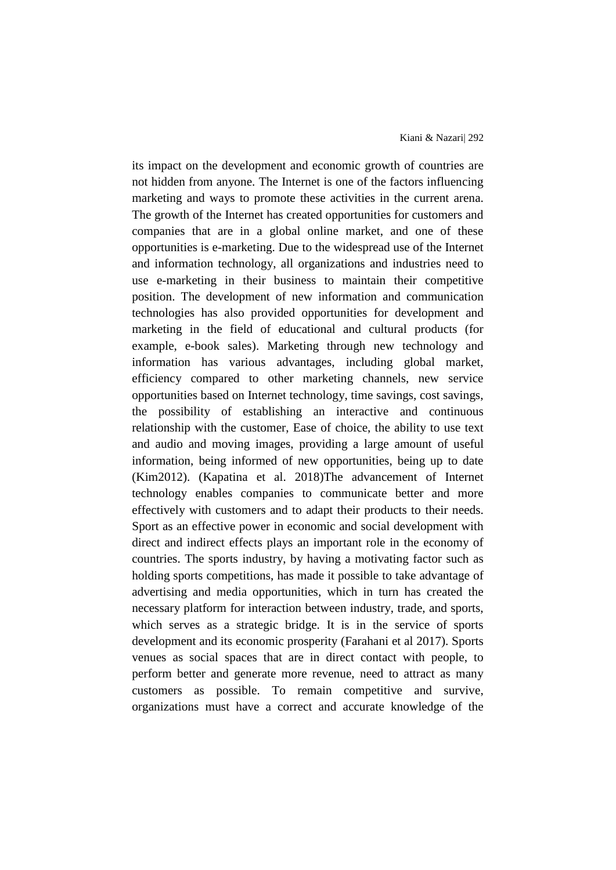its impact on the development and economic growth of countries are not hidden from anyone. The Internet is one of the factors influencing marketing and ways to promote these activities in the current arena. The growth of the Internet has created opportunities for customers and companies that are in a global online market, and one of these opportunities is e-marketing. Due to the widespread use of the Internet and information technology, all organizations and industries need to use e-marketing in their business to maintain their competitive position. The development of new information and communication technologies has also provided opportunities for development and marketing in the field of educational and cultural products (for example, e-book sales). Marketing through new technology and information has various advantages, including global market, efficiency compared to other marketing channels, new service opportunities based on Internet technology, time savings, cost savings, the possibility of establishing an interactive and continuous relationship with the customer, Ease of choice, the ability to use text and audio and moving images, providing a large amount of useful information, being informed of new opportunities, being up to date (Kim2012). (Kapatina et al. 2018)The advancement of Internet technology enables companies to communicate better and more effectively with customers and to adapt their products to their needs. Sport as an effective power in economic and social development with direct and indirect effects plays an important role in the economy of countries. The sports industry, by having a motivating factor such as holding sports competitions, has made it possible to take advantage of advertising and media opportunities, which in turn has created the necessary platform for interaction between industry, trade, and sports, which serves as a strategic bridge. It is in the service of sports development and its economic prosperity (Farahani et al 2017). Sports venues as social spaces that are in direct contact with people, to perform better and generate more revenue, need to attract as many customers as possible. To remain competitive and survive, organizations must have a correct and accurate knowledge of the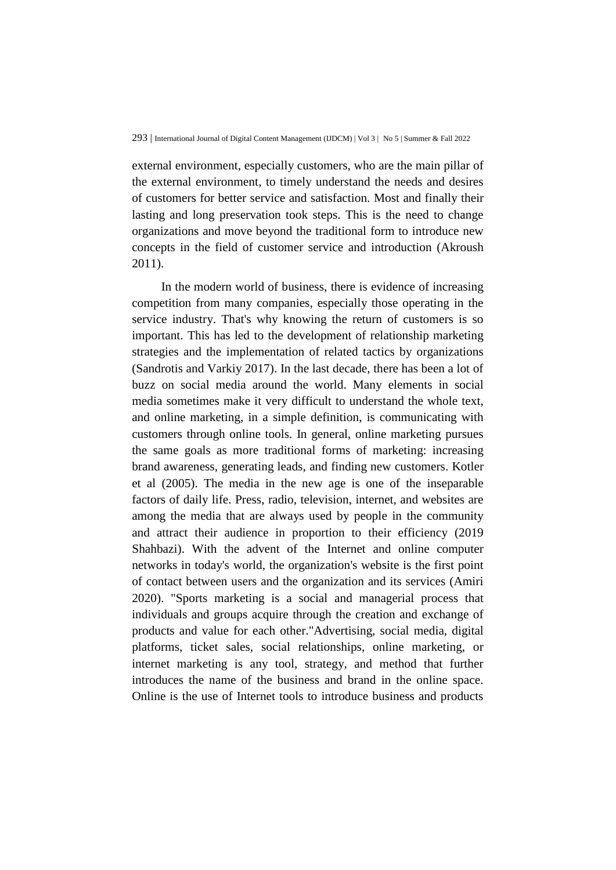external environment, especially customers, who are the main pillar of the external environment, to timely understand the needs and desires of customers for better service and satisfaction. Most and finally their lasting and long preservation took steps. This is the need to change organizations and move beyond the traditional form to introduce new concepts in the field of customer service and introduction (Akroush 2011).

In the modern world of business, there is evidence of increasing competition from many companies, especially those operating in the service industry. That's why knowing the return of customers is so important. This has led to the development of relationship marketing strategies and the implementation of related tactics by organizations (Sandrotis and Varkiy 2017). In the last decade, there has been a lot of buzz on social media around the world. Many elements in social media sometimes make it very difficult to understand the whole text, and online marketing, in a simple definition, is communicating with customers through online tools. In general, online marketing pursues the same goals as more traditional forms of marketing: increasing brand awareness, generating leads, and finding new customers. Kotler et al (2005). The media in the new age is one of the inseparable factors of daily life. Press, radio, television, internet, and websites are among the media that are always used by people in the community and attract their audience in proportion to their efficiency (2019 Shahbazi). With the advent of the Internet and online computer networks in today's world, the organization's website is the first point of contact between users and the organization and its services (Amiri 2020). "Sports marketing is a social and managerial process that individuals and groups acquire through the creation and exchange of products and value for each other."Advertising, social media, digital platforms, ticket sales, social relationships, online marketing, or internet marketing is any tool, strategy, and method that further introduces the name of the business and brand in the online space. Online is the use of Internet tools to introduce business and products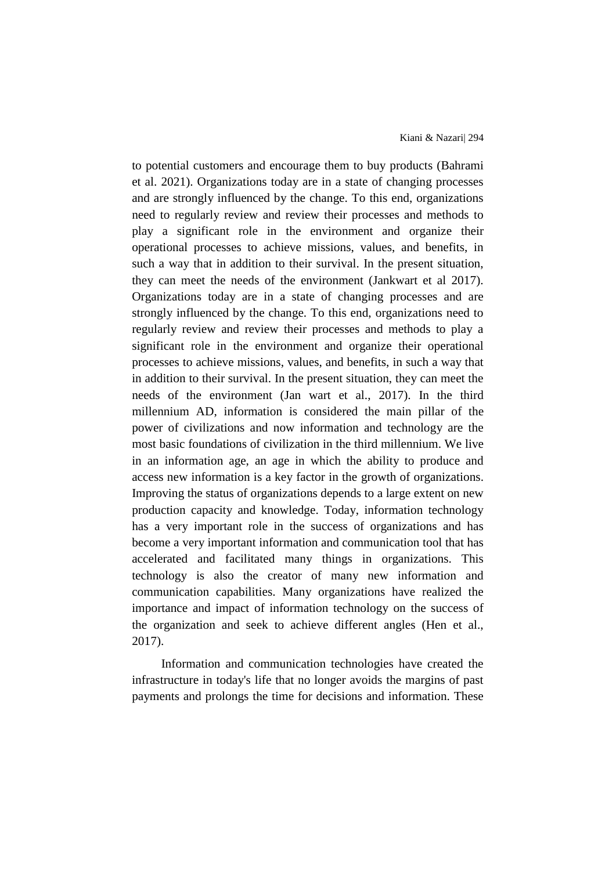to potential customers and encourage them to buy products (Bahrami et al. 2021). Organizations today are in a state of changing processes and are strongly influenced by the change. To this end, organizations need to regularly review and review their processes and methods to play a significant role in the environment and organize their operational processes to achieve missions, values, and benefits, in such a way that in addition to their survival. In the present situation, they can meet the needs of the environment (Jankwart et al 2017). Organizations today are in a state of changing processes and are strongly influenced by the change. To this end, organizations need to regularly review and review their processes and methods to play a significant role in the environment and organize their operational processes to achieve missions, values, and benefits, in such a way that in addition to their survival. In the present situation, they can meet the needs of the environment (Jan wart et al., 2017). In the third millennium AD, information is considered the main pillar of the power of civilizations and now information and technology are the most basic foundations of civilization in the third millennium. We live in an information age, an age in which the ability to produce and access new information is a key factor in the growth of organizations. Improving the status of organizations depends to a large extent on new production capacity and knowledge. Today, information technology has a very important role in the success of organizations and has become a very important information and communication tool that has accelerated and facilitated many things in organizations. This technology is also the creator of many new information and communication capabilities. Many organizations have realized the importance and impact of information technology on the success of the organization and seek to achieve different angles (Hen et al., 2017).

Information and communication technologies have created the infrastructure in today's life that no longer avoids the margins of past payments and prolongs the time for decisions and information. These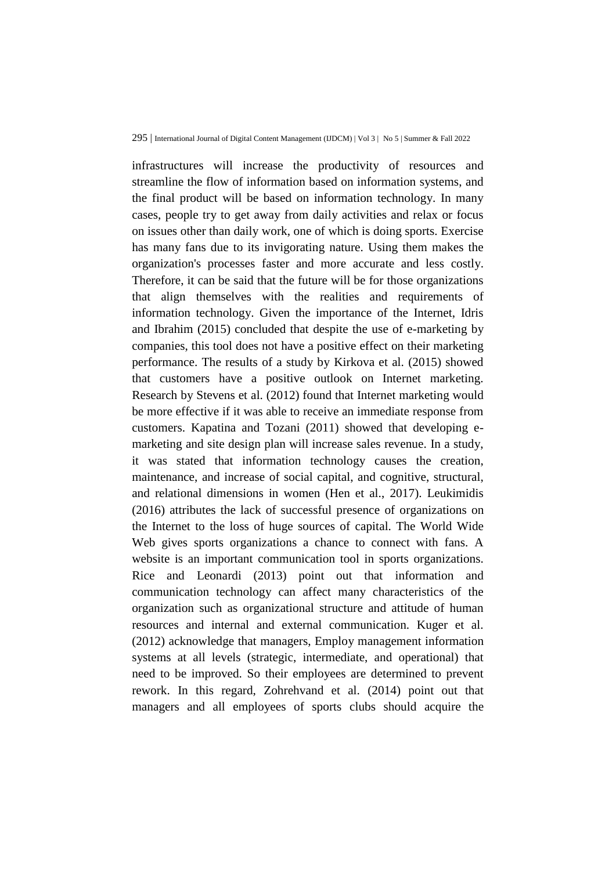infrastructures will increase the productivity of resources and streamline the flow of information based on information systems, and the final product will be based on information technology. In many cases, people try to get away from daily activities and relax or focus on issues other than daily work, one of which is doing sports. Exercise has many fans due to its invigorating nature. Using them makes the organization's processes faster and more accurate and less costly. Therefore, it can be said that the future will be for those organizations that align themselves with the realities and requirements of information technology. Given the importance of the Internet, Idris and Ibrahim (2015) concluded that despite the use of e-marketing by companies, this tool does not have a positive effect on their marketing performance. The results of a study by Kirkova et al. (2015) showed that customers have a positive outlook on Internet marketing. Research by Stevens et al. (2012) found that Internet marketing would be more effective if it was able to receive an immediate response from customers. Kapatina and Tozani (2011) showed that developing emarketing and site design plan will increase sales revenue. In a study, it was stated that information technology causes the creation, maintenance, and increase of social capital, and cognitive, structural, and relational dimensions in women (Hen et al., 2017). Leukimidis (2016) attributes the lack of successful presence of organizations on the Internet to the loss of huge sources of capital. The World Wide Web gives sports organizations a chance to connect with fans. A website is an important communication tool in sports organizations. Rice and Leonardi (2013) point out that information and communication technology can affect many characteristics of the organization such as organizational structure and attitude of human resources and internal and external communication. Kuger et al. (2012) acknowledge that managers, Employ management information systems at all levels (strategic, intermediate, and operational) that need to be improved. So their employees are determined to prevent rework. In this regard, Zohrehvand et al. (2014) point out that managers and all employees of sports clubs should acquire the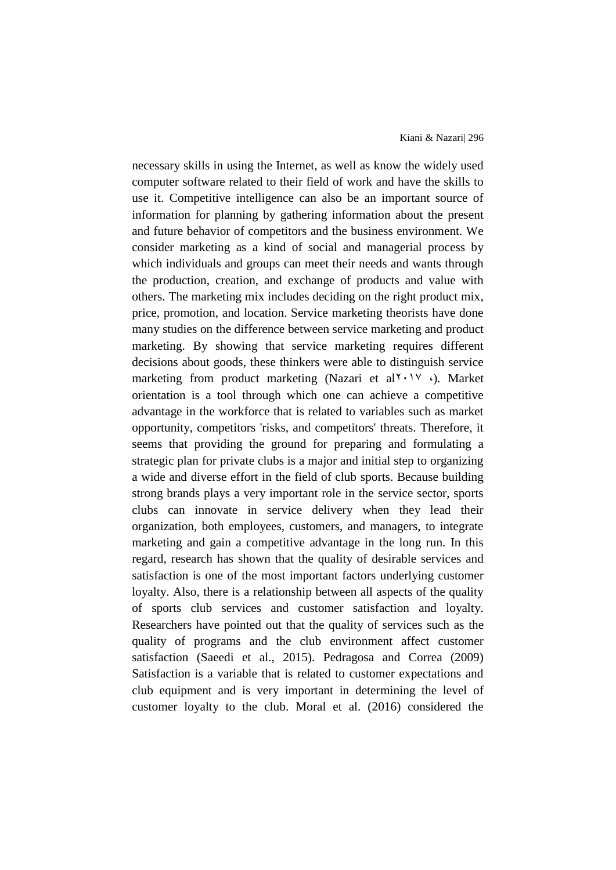necessary skills in using the Internet, as well as know the widely used computer software related to their field of work and have the skills to use it. Competitive intelligence can also be an important source of information for planning by gathering information about the present and future behavior of competitors and the business environment. We consider marketing as a kind of social and managerial process by which individuals and groups can meet their needs and wants through the production, creation, and exchange of products and value with others. The marketing mix includes deciding on the right product mix, price, promotion, and location. Service marketing theorists have done many studies on the difference between service marketing and product marketing. By showing that service marketing requires different decisions about goods, these thinkers were able to distinguish service marketing from product marketing (Nazari et al<sup> $\gamma \cdot \gamma$ </sup>). Market orientation is a tool through which one can achieve a competitive advantage in the workforce that is related to variables such as market opportunity, competitors 'risks, and competitors' threats. Therefore, it seems that providing the ground for preparing and formulating a strategic plan for private clubs is a major and initial step to organizing a wide and diverse effort in the field of club sports. Because building strong brands plays a very important role in the service sector, sports clubs can innovate in service delivery when they lead their organization, both employees, customers, and managers, to integrate marketing and gain a competitive advantage in the long run. In this regard, research has shown that the quality of desirable services and satisfaction is one of the most important factors underlying customer loyalty. Also, there is a relationship between all aspects of the quality of sports club services and customer satisfaction and loyalty. Researchers have pointed out that the quality of services such as the quality of programs and the club environment affect customer satisfaction (Saeedi et al., 2015). Pedragosa and Correa (2009) Satisfaction is a variable that is related to customer expectations and club equipment and is very important in determining the level of customer loyalty to the club. Moral et al. (2016) considered the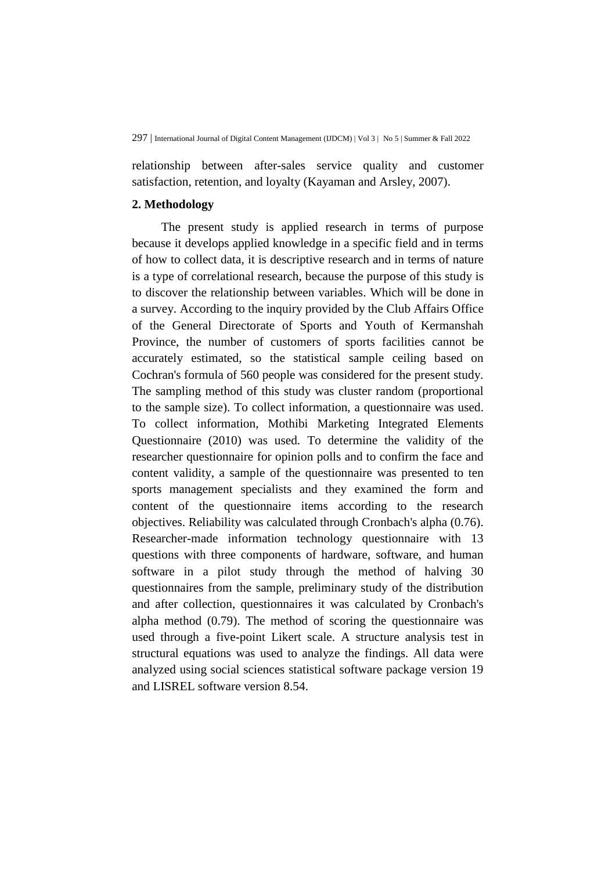relationship between after-sales service quality and customer satisfaction, retention, and loyalty (Kayaman and Arsley, 2007).

### **2. Methodology**

The present study is applied research in terms of purpose because it develops applied knowledge in a specific field and in terms of how to collect data, it is descriptive research and in terms of nature is a type of correlational research, because the purpose of this study is to discover the relationship between variables. Which will be done in a survey. According to the inquiry provided by the Club Affairs Office of the General Directorate of Sports and Youth of Kermanshah Province, the number of customers of sports facilities cannot be accurately estimated, so the statistical sample ceiling based on Cochran's formula of 560 people was considered for the present study. The sampling method of this study was cluster random (proportional to the sample size). To collect information, a questionnaire was used. To collect information, Mothibi Marketing Integrated Elements Questionnaire (2010) was used. To determine the validity of the researcher questionnaire for opinion polls and to confirm the face and content validity, a sample of the questionnaire was presented to ten sports management specialists and they examined the form and content of the questionnaire items according to the research objectives. Reliability was calculated through Cronbach's alpha (0.76). Researcher-made information technology questionnaire with 13 questions with three components of hardware, software, and human software in a pilot study through the method of halving 30 questionnaires from the sample, preliminary study of the distribution and after collection, questionnaires it was calculated by Cronbach's alpha method (0.79). The method of scoring the questionnaire was used through a five-point Likert scale. A structure analysis test in structural equations was used to analyze the findings. All data were analyzed using social sciences statistical software package version 19 and LISREL software version 8.54.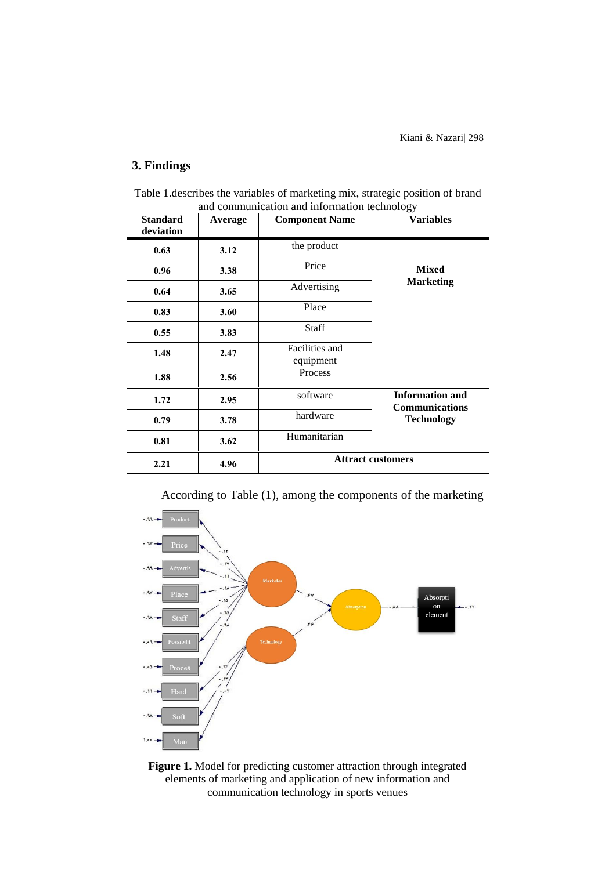Kiani & Nazari| 298

## **3. Findings**

| <b>Standard</b><br>deviation | Average | <b>Component Name</b>       | <b>Variables</b>                                                     |  |
|------------------------------|---------|-----------------------------|----------------------------------------------------------------------|--|
| 0.63                         | 3.12    | the product                 |                                                                      |  |
| 0.96                         | 3.38    | Price                       | <b>Mixed</b><br><b>Marketing</b>                                     |  |
| 0.64                         | 3.65    | Advertising                 |                                                                      |  |
| 0.83                         | 3.60    | Place                       |                                                                      |  |
| 0.55                         | 3.83    | Staff                       |                                                                      |  |
| 1.48                         | 2.47    | Facilities and<br>equipment |                                                                      |  |
| 1.88                         | 2.56    | Process                     |                                                                      |  |
| 1.72                         | 2.95    | software                    | <b>Information and</b><br><b>Communications</b><br><b>Technology</b> |  |
| 0.79                         | 3.78    | hardware                    |                                                                      |  |
| 0.81                         | 3.62    | Humanitarian                |                                                                      |  |
| 2.21                         | 4.96    | <b>Attract customers</b>    |                                                                      |  |

Table 1.describes the variables of marketing mix, strategic position of brand and communication and information technology

According to Table (1), among the components of the marketing



**Figure 1.** Model for predicting customer attraction through integrated elements of marketing and application of new information and communication technology in sports venues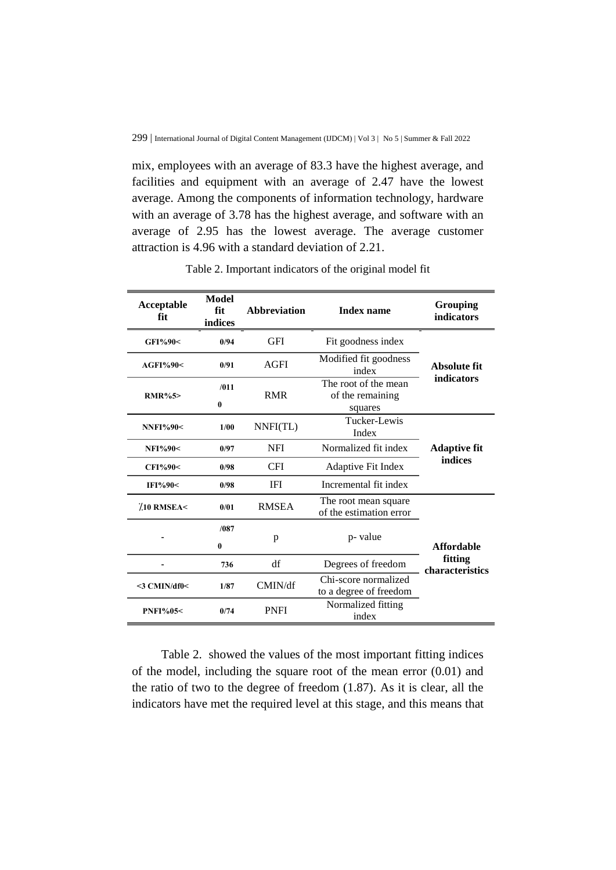mix, employees with an average of 83.3 have the highest average, and facilities and equipment with an average of 2.47 have the lowest average. Among the components of information technology, hardware with an average of 3.78 has the highest average, and software with an average of 2.95 has the lowest average. The average customer attraction is 4.96 with a standard deviation of 2.21.

| Acceptable<br>fit  | Model<br>fit<br>indices | Abbreviation | <b>Index name</b>                                   | Grouping<br>indicators     |  |
|--------------------|-------------------------|--------------|-----------------------------------------------------|----------------------------|--|
| GFI%90<            | 0/94                    | <b>GFI</b>   | Fit goodness index                                  |                            |  |
| AGFI%90<           | 0/91                    | <b>AGFI</b>  | Modified fit goodness<br>Absolute fit<br>index      |                            |  |
| <b>RMR%5&gt;</b>   | /011<br>$\bf{0}$        | <b>RMR</b>   | The root of the mean<br>of the remaining<br>squares | indicators                 |  |
| <b>NNFI%90&lt;</b> | 1/00                    | NNFI(TL)     | Tucker-Lewis<br>Index                               | <b>Adaptive fit</b>        |  |
| NFI%90<            | 0/97                    | <b>NFI</b>   | Normalized fit index                                |                            |  |
| CFI%90<            | 0/98                    | <b>CFI</b>   | indices<br><b>Adaptive Fit Index</b>                |                            |  |
| IFI%90<            | 0/98                    | <b>IFI</b>   | Incremental fit index                               |                            |  |
| $10$ RMSEA<        | 0/01                    | <b>RMSEA</b> | The root mean square<br>of the estimation error     |                            |  |
|                    | /087<br>$\bf{0}$        |              | p- value                                            | <b>Affordable</b>          |  |
|                    | 736                     | df           | Degrees of freedom                                  | fitting<br>characteristics |  |
| <3 CMIN/df0<       | 1/87                    | CMIN/df      | Chi-score normalized<br>to a degree of freedom      |                            |  |
| <b>PNFI%05&lt;</b> | 0/74                    | <b>PNFI</b>  | Normalized fitting<br>index                         |                            |  |

Table 2. Important indicators of the original model fit

Table 2. showed the values of the most important fitting indices of the model, including the square root of the mean error (0.01) and the ratio of two to the degree of freedom (1.87). As it is clear, all the indicators have met the required level at this stage, and this means that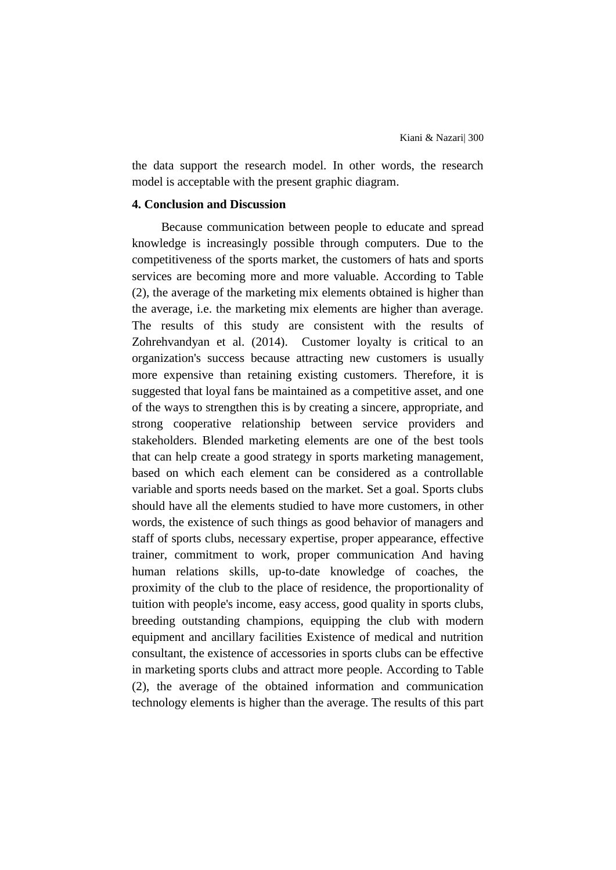the data support the research model. In other words, the research model is acceptable with the present graphic diagram.

#### **4. Conclusion and Discussion**

Because communication between people to educate and spread knowledge is increasingly possible through computers. Due to the competitiveness of the sports market, the customers of hats and sports services are becoming more and more valuable. According to Table (2), the average of the marketing mix elements obtained is higher than the average, i.e. the marketing mix elements are higher than average. The results of this study are consistent with the results of Zohrehvandyan et al. (2014). Customer loyalty is critical to an organization's success because attracting new customers is usually more expensive than retaining existing customers. Therefore, it is suggested that loyal fans be maintained as a competitive asset, and one of the ways to strengthen this is by creating a sincere, appropriate, and strong cooperative relationship between service providers and stakeholders. Blended marketing elements are one of the best tools that can help create a good strategy in sports marketing management, based on which each element can be considered as a controllable variable and sports needs based on the market. Set a goal. Sports clubs should have all the elements studied to have more customers, in other words, the existence of such things as good behavior of managers and staff of sports clubs, necessary expertise, proper appearance, effective trainer, commitment to work, proper communication And having human relations skills, up-to-date knowledge of coaches, the proximity of the club to the place of residence, the proportionality of tuition with people's income, easy access, good quality in sports clubs, breeding outstanding champions, equipping the club with modern equipment and ancillary facilities Existence of medical and nutrition consultant, the existence of accessories in sports clubs can be effective in marketing sports clubs and attract more people. According to Table (2), the average of the obtained information and communication technology elements is higher than the average. The results of this part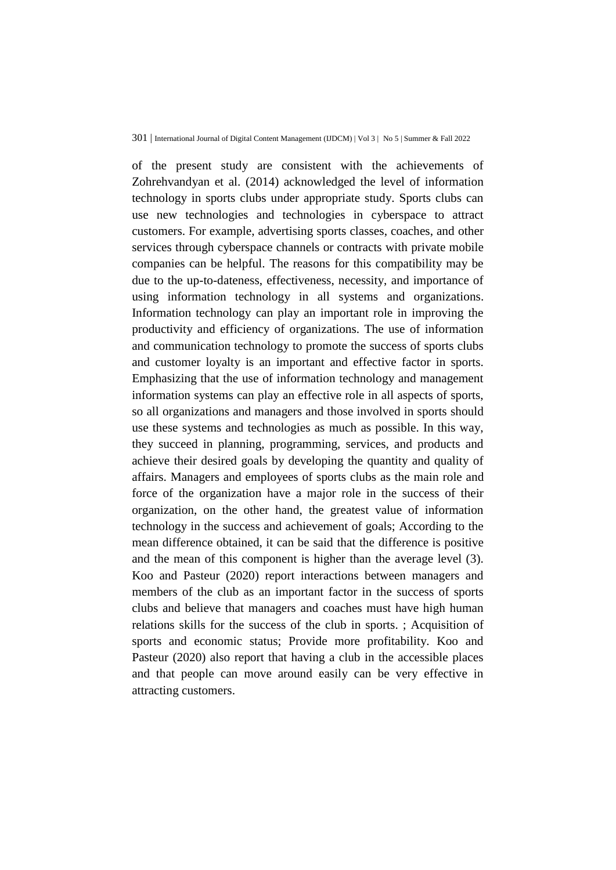of the present study are consistent with the achievements of Zohrehvandyan et al. (2014) acknowledged the level of information technology in sports clubs under appropriate study. Sports clubs can use new technologies and technologies in cyberspace to attract customers. For example, advertising sports classes, coaches, and other services through cyberspace channels or contracts with private mobile companies can be helpful. The reasons for this compatibility may be due to the up-to-dateness, effectiveness, necessity, and importance of using information technology in all systems and organizations. Information technology can play an important role in improving the productivity and efficiency of organizations. The use of information and communication technology to promote the success of sports clubs and customer loyalty is an important and effective factor in sports. Emphasizing that the use of information technology and management information systems can play an effective role in all aspects of sports, so all organizations and managers and those involved in sports should use these systems and technologies as much as possible. In this way, they succeed in planning, programming, services, and products and achieve their desired goals by developing the quantity and quality of affairs. Managers and employees of sports clubs as the main role and force of the organization have a major role in the success of their organization, on the other hand, the greatest value of information technology in the success and achievement of goals; According to the mean difference obtained, it can be said that the difference is positive and the mean of this component is higher than the average level (3). Koo and Pasteur (2020) report interactions between managers and members of the club as an important factor in the success of sports clubs and believe that managers and coaches must have high human relations skills for the success of the club in sports. ; Acquisition of sports and economic status; Provide more profitability. Koo and Pasteur (2020) also report that having a club in the accessible places and that people can move around easily can be very effective in attracting customers.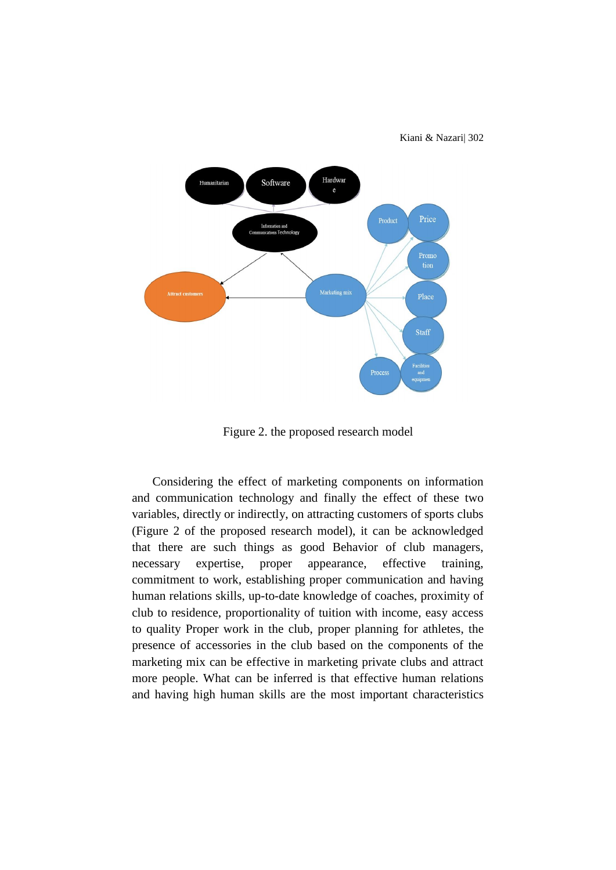

Figure 2. the proposed research model

Considering the effect of marketing components on information and communication technology and finally the effect of these two variables, directly or indirectly, on attracting customers of sports clubs (Figure 2 of the proposed research model), it can be acknowledged that there are such things as good Behavior of club managers, necessary expertise, proper appearance, effective training, commitment to work, establishing proper communication and having human relations skills, up-to-date knowledge of coaches, proximity of club to residence, proportionality of tuition with income, easy access to quality Proper work in the club, proper planning for athletes, the presence of accessories in the club based on the components of the marketing mix can be effective in marketing private clubs and attract more people. What can be inferred is that effective human relations and having high human skills are the most important characteristics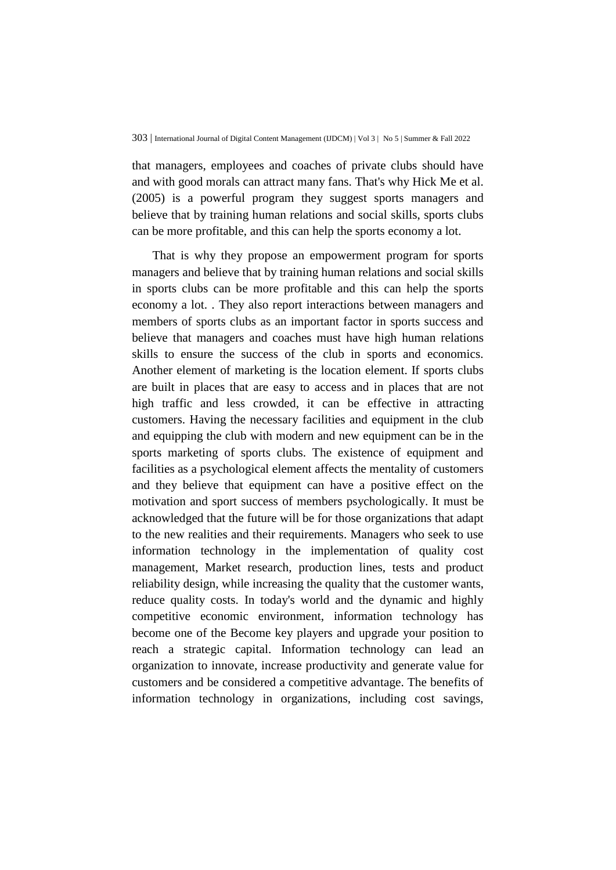that managers, employees and coaches of private clubs should have and with good morals can attract many fans. That's why Hick Me et al. (2005) is a powerful program they suggest sports managers and believe that by training human relations and social skills, sports clubs can be more profitable, and this can help the sports economy a lot.

That is why they propose an empowerment program for sports managers and believe that by training human relations and social skills in sports clubs can be more profitable and this can help the sports economy a lot. . They also report interactions between managers and members of sports clubs as an important factor in sports success and believe that managers and coaches must have high human relations skills to ensure the success of the club in sports and economics. Another element of marketing is the location element. If sports clubs are built in places that are easy to access and in places that are not high traffic and less crowded, it can be effective in attracting customers. Having the necessary facilities and equipment in the club and equipping the club with modern and new equipment can be in the sports marketing of sports clubs. The existence of equipment and facilities as a psychological element affects the mentality of customers and they believe that equipment can have a positive effect on the motivation and sport success of members psychologically. It must be acknowledged that the future will be for those organizations that adapt to the new realities and their requirements. Managers who seek to use information technology in the implementation of quality cost management, Market research, production lines, tests and product reliability design, while increasing the quality that the customer wants, reduce quality costs. In today's world and the dynamic and highly competitive economic environment, information technology has become one of the Become key players and upgrade your position to reach a strategic capital. Information technology can lead an organization to innovate, increase productivity and generate value for customers and be considered a competitive advantage. The benefits of information technology in organizations, including cost savings,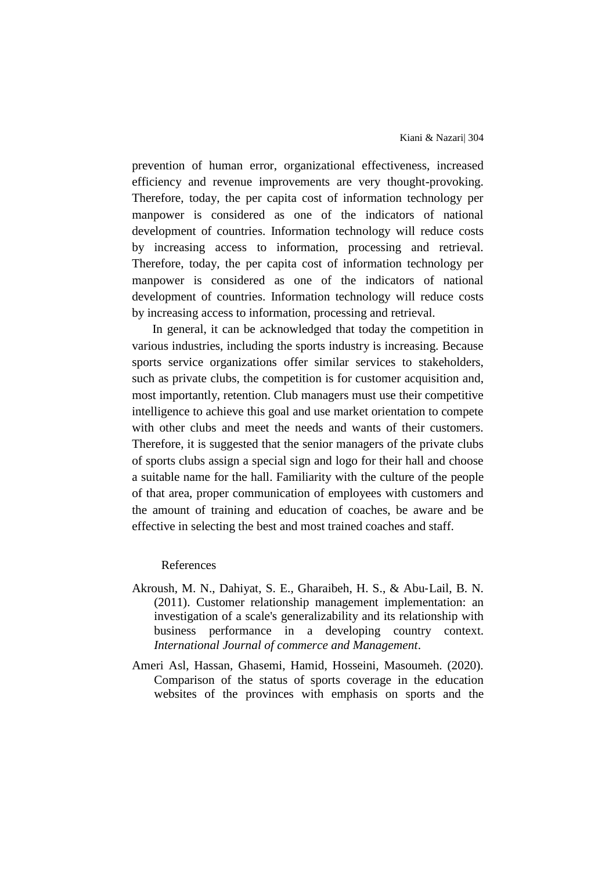prevention of human error, organizational effectiveness, increased efficiency and revenue improvements are very thought-provoking. Therefore, today, the per capita cost of information technology per manpower is considered as one of the indicators of national development of countries. Information technology will reduce costs by increasing access to information, processing and retrieval. Therefore, today, the per capita cost of information technology per manpower is considered as one of the indicators of national development of countries. Information technology will reduce costs by increasing access to information, processing and retrieval.

In general, it can be acknowledged that today the competition in various industries, including the sports industry is increasing. Because sports service organizations offer similar services to stakeholders, such as private clubs, the competition is for customer acquisition and, most importantly, retention. Club managers must use their competitive intelligence to achieve this goal and use market orientation to compete with other clubs and meet the needs and wants of their customers. Therefore, it is suggested that the senior managers of the private clubs of sports clubs assign a special sign and logo for their hall and choose a suitable name for the hall. Familiarity with the culture of the people of that area, proper communication of employees with customers and the amount of training and education of coaches, be aware and be effective in selecting the best and most trained coaches and staff.

#### References

- Akroush, M. N., Dahiyat, S. E., Gharaibeh, H. S., & Abu‐Lail, B. N. (2011). Customer relationship management implementation: an investigation of a scale's generalizability and its relationship with business performance in a developing country context. *International Journal of commerce and Management*.
- Ameri Asl, Hassan, Ghasemi, Hamid, Hosseini, Masoumeh. (2020). Comparison of the status of sports coverage in the education websites of the provinces with emphasis on sports and the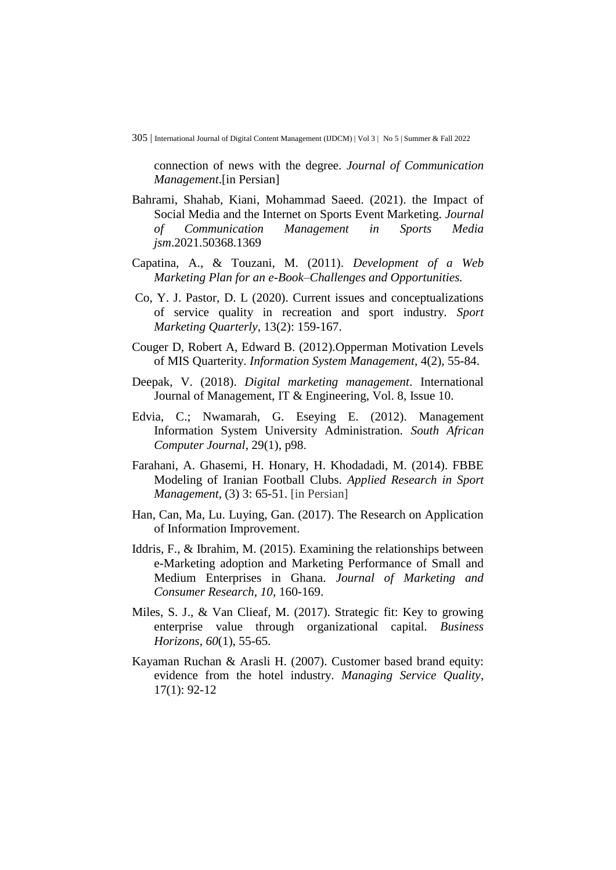connection of news with the degree. *Journal of Communication Management*.[in Persian]

- Bahrami, Shahab, Kiani, Mohammad Saeed. (2021). the Impact of Social Media and the Internet on Sports Event Marketing. *Journal of Communication Management in Sports Media jsm*.2021.50368.1369
- Capatina, A., & Touzani, M. (2011). *Development of a Web Marketing Plan for an e-Book–Challenges and Opportunities.*
- Co, Y. J. Pastor, D. L (2020). Current issues and conceptualizations of service quality in recreation and sport industry. *Sport Marketing Quarterly*, 13(2): 159-167.
- Couger D, Robert A, Edward B. (2012).Opperman Motivation Levels of MIS Quarterity. *Information System Management*, 4(2), 55-84.
- Deepak, V. (2018). *Digital marketing management*. International Journal of Management, IT & Engineering, Vol. 8, Issue 10.
- Edvia, C.; Nwamarah, G. Eseying E. (2012). Management Information System University Administration*. South African Computer Journal*, 29(1), p98.
- Farahani, A. Ghasemi, H. Honary, H. Khodadadi, M. (2014). FBBE Modeling of Iranian Football Clubs. *Applied Research in Sport Management*, (3) 3: 65-51. [in Persian]
- Han, Can, Ma, Lu. Luying, Gan. (2017). The Research on Application of Information Improvement.
- Iddris, F., & Ibrahim, M. (2015). Examining the relationships between e-Marketing adoption and Marketing Performance of Small and Medium Enterprises in Ghana. *Journal of Marketing and Consumer Research*, *10*, 160-169.
- Miles, S. J., & Van Clieaf, M. (2017). Strategic fit: Key to growing enterprise value through organizational capital. *Business Horizons*, *60*(1), 55-65.
- Kayaman Ruchan & Arasli H. (2007). Customer based brand equity: evidence from the hotel industry. *Managing Service Quality*, 17(1): 92-12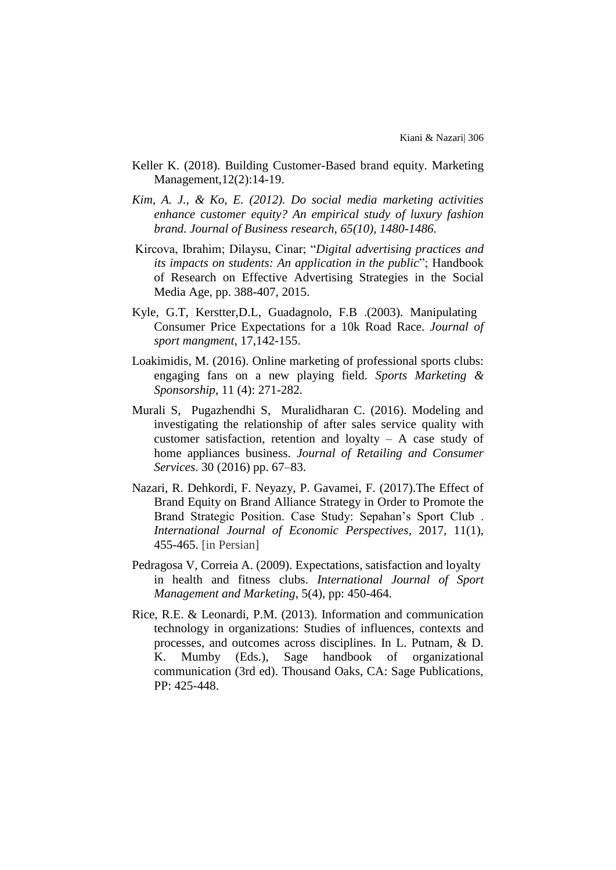- Keller K. (2018). Building Customer-Based brand equity. Marketing Management,12(2):14-19.
- *Kim, A. J., & Ko, E. (2012). Do social media marketing activities enhance customer equity? An empirical study of luxury fashion brand. Journal of Business research, 65(10), 1480-1486.*
- Kircova, Ibrahim; Dilaysu, Cinar; "*Digital advertising practices and its impacts on students: An application in the public*"; Handbook of Research on Effective Advertising Strategies in the Social Media Age, pp. 388-407, 2015.
- Kyle, G.T, Kerstter,D.L, Guadagnolo, F.B .(2003). Manipulating Consumer Price Expectations for a 10k Road Race. *Journal of sport mangment*, 17,142-155.
- Loakimidis, M. (2016). Online marketing of professional sports clubs: engaging fans on a new playing field. *Sports Marketing & Sponsorship*, 11 (4): 271-282.
- Murali S, Pugazhendhi S, Muralidharan C. (2016). Modeling and investigating the relationship of after sales service quality with customer satisfaction, retention and loyalty  $- A$  case study of home appliances business. *Journal of Retailing and Consumer Services*. 30 (2016) pp. 67–83.
- Nazari, R. Dehkordi, F. Neyazy, P. Gavamei, F. (2017).The Effect of Brand Equity on Brand Alliance Strategy in Order to Promote the Brand Strategic Position. Case Study: Sepahan's Sport Club . *International Journal of Economic Perspectives*, 2017, 11(1), 455-465. [in Persian]
- Pedragosa V, Correia A. (2009). Expectations, satisfaction and loyalty in health and fitness clubs. *International Journal of Sport Management and Marketing*, 5(4), pp: 450-464.
- Rice, R.E. & Leonardi, P.M. (2013). Information and communication technology in organizations: Studies of influences, contexts and processes, and outcomes across disciplines. In L. Putnam, & D. K. Mumby (Eds.), Sage handbook of organizational communication (3rd ed). Thousand Oaks, CA: Sage Publications, PP: 425-448.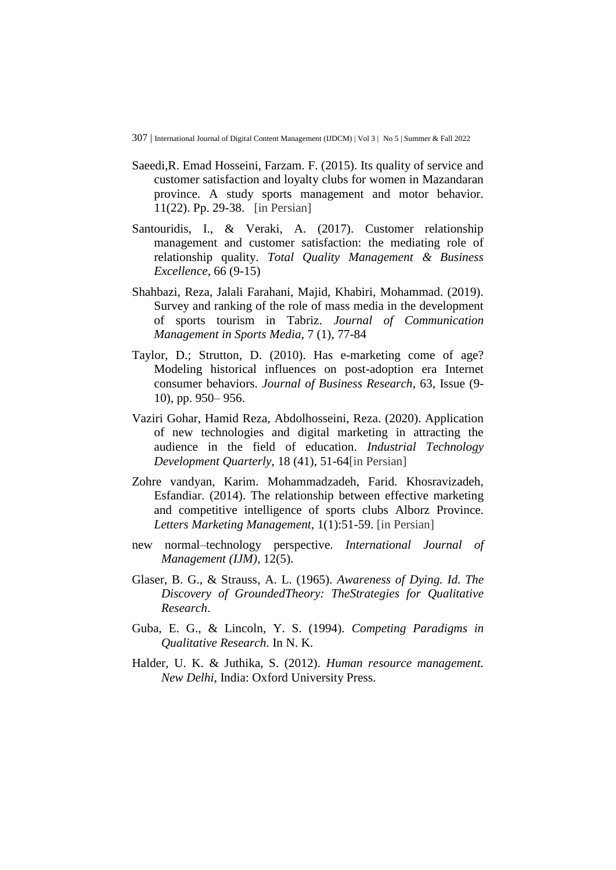- Saeedi,R. Emad Hosseini, Farzam. F. (2015). Its quality of service and customer satisfaction and loyalty clubs for women in Mazandaran province. A study sports management and motor behavior. 11(22). Pp. 29-38. [in Persian]
- Santouridis, I., & Veraki, A. (2017). Customer relationship management and customer satisfaction: the mediating role of relationship quality. *Total Quality Management & Business Excellence*, 66 (9-15)
- Shahbazi, Reza, Jalali Farahani, Majid, Khabiri, Mohammad. (2019). Survey and ranking of the role of mass media in the development of sports tourism in Tabriz. *Journal of Communication Management in Sports Media*, 7 (1), 77-84
- Taylor, D.; Strutton, D. (2010). Has e-marketing come of age? Modeling historical influences on post-adoption era Internet consumer behaviors. *Journal of Business Research*, 63, Issue (9- 10), pp. 950– 956.
- Vaziri Gohar, Hamid Reza, Abdolhosseini, Reza. (2020). Application of new technologies and digital marketing in attracting the audience in the field of education. *Industrial Technology Development Quarterly*, 18 (41), 51-64[in Persian]
- Zohre vandyan, Karim. Mohammadzadeh, Farid. Khosravizadeh, Esfandiar. (2014). The relationship between effective marketing and competitive intelligence of sports clubs Alborz Province. *Letters Marketing Management*, 1(1):51-59. [in Persian]
- new normal–technology perspective. *International Journal of Management (IJM)*, 12(5).
- Glaser, B. G., & Strauss, A. L. (1965). *Awareness of Dying. Id. The Discovery of GroundedTheory: TheStrategies for Qualitative Research*.
- Guba, E. G., & Lincoln, Y. S. (1994). *Competing Paradigms in Qualitative Research*. In N. K.
- Halder, U. K. & Juthika, S. (2012). *Human resource management. New Delhi*, India: Oxford University Press.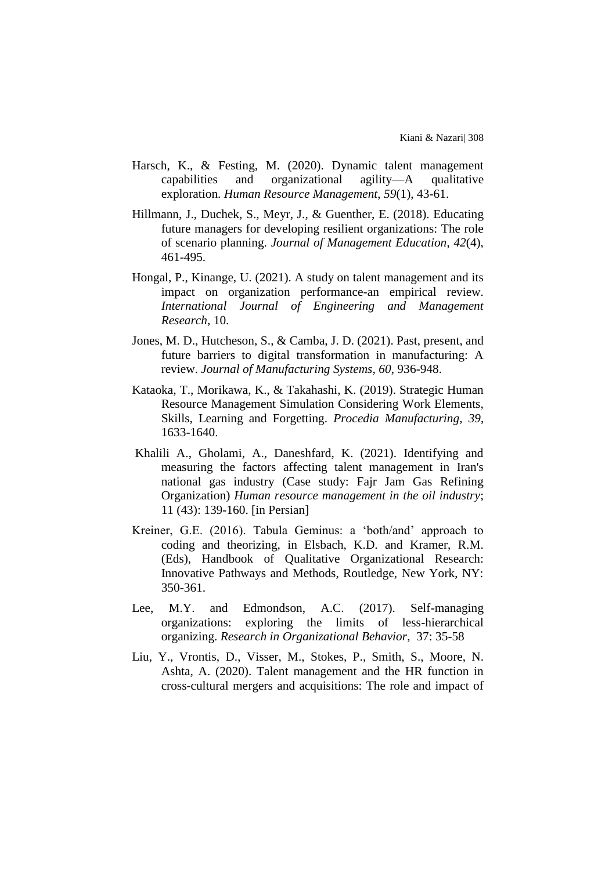- Harsch, K., & Festing, M. (2020). Dynamic talent management capabilities and organizational agility—A qualitative exploration. *Human Resource Management*, *59*(1), 43-61.
- Hillmann, J., Duchek, S., Meyr, J., & Guenther, E. (2018). Educating future managers for developing resilient organizations: The role of scenario planning. *Journal of Management Education*, *42*(4), 461-495.
- Hongal, P., Kinange, U. (2021). A study on talent management and its impact on organization performance-an empirical review. *International Journal of Engineering and Management Research*, 10.
- Jones, M. D., Hutcheson, S., & Camba, J. D. (2021). Past, present, and future barriers to digital transformation in manufacturing: A review. *Journal of Manufacturing Systems*, *60*, 936-948.
- Kataoka, T., Morikawa, K., & Takahashi, K. (2019). Strategic Human Resource Management Simulation Considering Work Elements, Skills, Learning and Forgetting. *Procedia Manufacturing*, *39*, 1633-1640.
- Khalili A., Gholami, A., Daneshfard, K. (2021). Identifying and measuring the factors affecting talent management in Iran's national gas industry (Case study: Fajr Jam Gas Refining Organization) *Human resource management in the oil industry*; 11 (43): 139-160. [in Persian]
- Kreiner, G.E. (2016). Tabula Geminus: a 'both/and' approach to coding and theorizing, in Elsbach, K.D. and Kramer, R.M. (Eds), Handbook of Qualitative Organizational Research: Innovative Pathways and Methods, Routledge, New York, NY: 350-361.
- Lee, M.Y. and Edmondson, A.C. (2017). Self-managing organizations: exploring the limits of less-hierarchical organizing. *Research in Organizational Behavior*, 37: 35-58
- Liu, Y., Vrontis, D., Visser, M., Stokes, P., Smith, S., Moore, N. Ashta, A. (2020). Talent management and the HR function in cross-cultural mergers and acquisitions: The role and impact of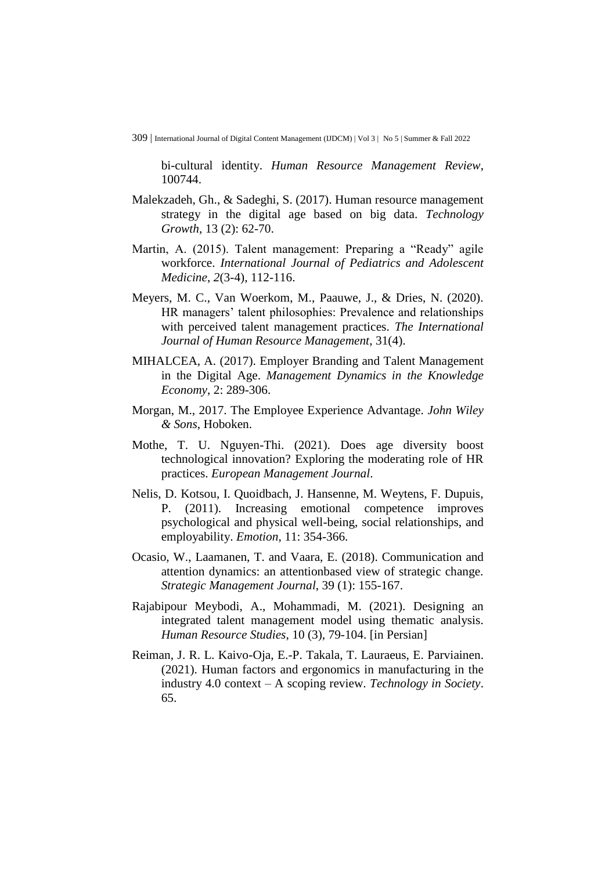bi-cultural identity. *Human Resource Management Review*, 100744.

- Malekzadeh, Gh., & Sadeghi, S. (2017). Human resource management strategy in the digital age based on big data. *Technology Growth*, 13 (2): 62-70.
- Martin, A. (2015). Talent management: Preparing a "Ready" agile workforce. *International Journal of Pediatrics and Adolescent Medicine*, *2*(3-4), 112-116.
- Meyers, M. C., Van Woerkom, M., Paauwe, J., & Dries, N. (2020). HR managers' talent philosophies: Prevalence and relationships with perceived talent management practices. *The International Journal of Human Resource Management*, 31(4).
- MIHALCEA, A. (2017). Employer Branding and Talent Management in the Digital Age. *Management Dynamics in the Knowledge Economy*, 2: 289-306.
- Morgan, M., 2017. The Employee Experience Advantage. *John Wiley & Sons*, Hoboken.
- Mothe, T. U. Nguyen-Thi. (2021). Does age diversity boost technological innovation? Exploring the moderating role of HR practices. *European Management Journal*.
- Nelis, D. Kotsou, I. Quoidbach, J. Hansenne, M. Weytens, F. Dupuis, P. (2011). Increasing emotional competence improves psychological and physical well-being, social relationships, and employability. *Emotion*, 11: 354-366.
- Ocasio, W., Laamanen, T. and Vaara, E. (2018). Communication and attention dynamics: an attentionbased view of strategic change. *Strategic Management Journal*, 39 (1): 155-167.
- Rajabipour Meybodi, A., Mohammadi, M. (2021). Designing an integrated talent management model using thematic analysis. *Human Resource Studies*, 10 (3), 79-104. [in Persian]
- Reiman, J. R. L. Kaivo-Oja, E.-P. Takala, T. Lauraeus, E. Parviainen. (2021). Human factors and ergonomics in manufacturing in the industry 4.0 context – A scoping review. *Technology in Society*. 65.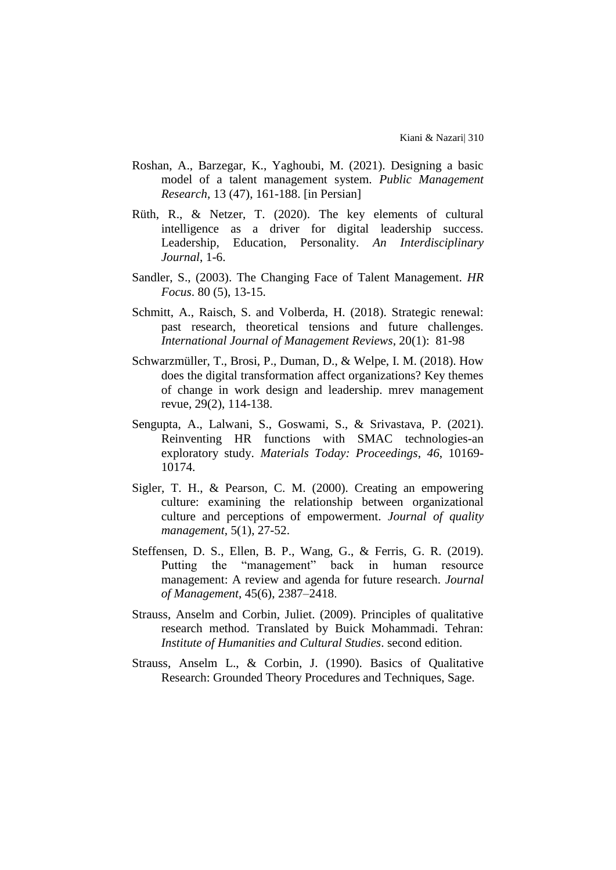- Roshan, A., Barzegar, K., Yaghoubi, M. (2021). Designing a basic model of a talent management system. *Public Management Research*, 13 (47), 161-188. [in Persian]
- Rüth, R., & Netzer, T. (2020). The key elements of cultural intelligence as a driver for digital leadership success. Leadership, Education, Personality. *An Interdisciplinary Journal*, 1-6.
- Sandler, S., (2003). The Changing Face of Talent Management. *HR Focus*. 80 (5), 13-15.
- Schmitt, A., Raisch, S. and Volberda, H. (2018). Strategic renewal: past research, theoretical tensions and future challenges. *International Journal of Management Reviews*, 20(1): 81-98
- Schwarzmüller, T., Brosi, P., Duman, D., & Welpe, I. M. (2018). How does the digital transformation affect organizations? Key themes of change in work design and leadership. mrev management revue, 29(2), 114-138.
- Sengupta, A., Lalwani, S., Goswami, S., & Srivastava, P. (2021). Reinventing HR functions with SMAC technologies-an exploratory study. *Materials Today: Proceedings*, *46*, 10169- 10174.
- Sigler, T. H., & Pearson, C. M. (2000). Creating an empowering culture: examining the relationship between organizational culture and perceptions of empowerment. *Journal of quality management*, 5(1), 27-52.
- Steffensen, D. S., Ellen, B. P., Wang, G., & Ferris, G. R. (2019). Putting the "management" back in human resource management: A review and agenda for future research. *Journal of Management*, 45(6), 2387–2418.
- Strauss, Anselm and Corbin, Juliet. (2009). Principles of qualitative research method. Translated by Buick Mohammadi. Tehran: *Institute of Humanities and Cultural Studies*. second edition.
- Strauss, Anselm L., & Corbin, J. (1990). Basics of Qualitative Research: Grounded Theory Procedures and Techniques, Sage.